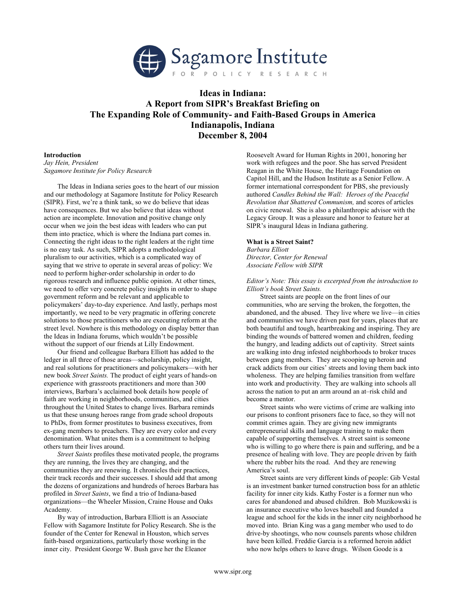

# Ideas in Indiana: A Report from SIPR's Breakfast Briefing on The Expanding Role of Community- and Faith-Based Groups in America Indianapolis, Indiana December 8, 2004

# Introduction

Jay Hein, President Sagamore Institute for Policy Research

The Ideas in Indiana series goes to the heart of our mission and our methodology at Sagamore Institute for Policy Research (SIPR). First, we're a think tank, so we do believe that ideas have consequences. But we also believe that ideas without action are incomplete. Innovation and positive change only occur when we join the best ideas with leaders who can put them into practice, which is where the Indiana part comes in. Connecting the right ideas to the right leaders at the right time is no easy task. As such, SIPR adopts a methodological pluralism to our activities, which is a complicated way of saying that we strive to operate in several areas of policy: We need to perform higher-order scholarship in order to do rigorous research and influence public opinion. At other times, we need to offer very concrete policy insights in order to shape government reform and be relevant and applicable to policymakers' day-to-day experience. And lastly, perhaps most importantly, we need to be very pragmatic in offering concrete solutions to those practitioners who are executing reform at the street level. Nowhere is this methodology on display better than the Ideas in Indiana forums, which wouldn't be possible without the support of our friends at Lilly Endowment.

Our friend and colleague Barbara Elliott has added to the ledger in all three of those areas—scholarship, policy insight, and real solutions for practitioners and policymakers—with her new book Street Saints. The product of eight years of hands-on experience with grassroots practitioners and more than 300 interviews, Barbara's acclaimed book details how people of faith are working in neighborhoods, communities, and cities throughout the United States to change lives. Barbara reminds us that these unsung heroes range from grade school dropouts to PhDs, from former prostitutes to business executives, from ex-gang members to preachers. They are every color and every denomination. What unites them is a commitment to helping others turn their lives around.

Street Saints profiles these motivated people, the programs they are running, the lives they are changing, and the communities they are renewing. It chronicles their practices, their track records and their successes. I should add that among the dozens of organizations and hundreds of heroes Barbara has profiled in Street Saints, we find a trio of Indiana-based organizations—the Wheeler Mission, Craine House and Oaks Academy.

By way of introduction, Barbara Elliott is an Associate Fellow with Sagamore Institute for Policy Research. She is the founder of the Center for Renewal in Houston, which serves faith-based organizations, particularly those working in the inner city. President George W. Bush gave her the Eleanor

Roosevelt Award for Human Rights in 2001, honoring her work with refugees and the poor. She has served President Reagan in the White House, the Heritage Foundation on Capitol Hill, and the Hudson Institute as a Senior Fellow. A former international correspondent for PBS, she previously authored Candles Behind the Wall: Heroes of the Peaceful Revolution that Shattered Communism, and scores of articles on civic renewal. She is also a philanthropic advisor with the Legacy Group. It was a pleasure and honor to feature her at SIPR's inaugural Ideas in Indiana gathering.

# What is a Street Saint?

Barbara Elliott Director, Center for Renewal Associate Fellow with SIPR

Editor's Note: This essay is excerpted from the introduction to Elliott's book Street Saints.

Street saints are people on the front lines of our communities, who are serving the broken, the forgotten, the abandoned, and the abused. They live where we live—in cities and communities we have driven past for years, places that are both beautiful and tough, heartbreaking and inspiring. They are binding the wounds of battered women and children, feeding the hungry, and leading addicts out of captivity. Street saints are walking into drug infested neighborhoods to broker truces between gang members. They are scooping up heroin and crack addicts from our cities' streets and loving them back into wholeness. They are helping families transition from welfare into work and productivity. They are walking into schools all across the nation to put an arm around an at–risk child and become a mentor.

Street saints who were victims of crime are walking into our prisons to confront prisoners face to face, so they will not commit crimes again. They are giving new immigrants entrepreneurial skills and language training to make them capable of supporting themselves. A street saint is someone who is willing to go where there is pain and suffering, and be a presence of healing with love. They are people driven by faith where the rubber hits the road. And they are renewing America's soul.

Street saints are very different kinds of people: Gib Vestal is an investment banker turned construction boss for an athletic facility for inner city kids. Kathy Foster is a former nun who cares for abandoned and abused children. Bob Muzikowski is an insurance executive who loves baseball and founded a league and school for the kids in the inner city neighborhood he moved into. Brian King was a gang member who used to do drive-by shootings, who now counsels parents whose children have been killed. Freddie Garcia is a reformed heroin addict who now helps others to leave drugs. Wilson Goode is a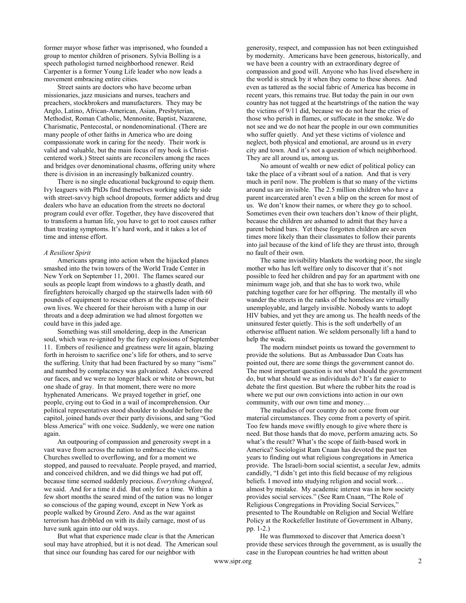former mayor whose father was imprisoned, who founded a group to mentor children of prisoners. Sylvia Bolling is a speech pathologist turned neighborhood renewer. Reid Carpenter is a former Young Life leader who now leads a movement embracing entire cities.

Street saints are doctors who have become urban missionaries, jazz musicians and nurses, teachers and preachers, stockbrokers and manufacturers. They may be Anglo, Latino, African-American, Asian, Presbyterian, Methodist, Roman Catholic, Mennonite, Baptist, Nazarene, Charismatic, Pentecostal, or nondenominational. (There are many people of other faiths in America who are doing compassionate work in caring for the needy. Their work is valid and valuable, but the main focus of my book is Christcentered work.) Street saints are reconcilers among the races and bridges over denominational chasms, offering unity where there is division in an increasingly balkanized country.

There is no single educational background to equip them. Ivy leaguers with PhDs find themselves working side by side with street-savvy high school dropouts, former addicts and drug dealers who have an education from the streets no doctoral program could ever offer. Together, they have discovered that to transform a human life, you have to get to root causes rather than treating symptoms. It's hard work, and it takes a lot of time and intense effort.

#### A Resilient Spirit

Americans sprang into action when the hijacked planes smashed into the twin towers of the World Trade Center in New York on September 11, 2001. The flames seared our souls as people leapt from windows to a ghastly death, and firefighters heroically charged up the stairwells laden with 60 pounds of equipment to rescue others at the expense of their own lives. We cheered for their heroism with a lump in our throats and a deep admiration we had almost forgotten we could have in this jaded age.

Something was still smoldering, deep in the American soul, which was re-ignited by the fiery explosions of September 11. Embers of resilience and greatness were lit again, blazing forth in heroism to sacrifice one's life for others, and to serve the suffering. Unity that had been fractured by so many "isms" and numbed by complacency was galvanized. Ashes covered our faces, and we were no longer black or white or brown, but one shade of gray. In that moment, there were no more hyphenated Americans. We prayed together in grief, one people, crying out to God in a wail of incomprehension. Our political representatives stood shoulder to shoulder before the capitol, joined hands over their party divisions, and sang "God bless America" with one voice. Suddenly, we were one nation again.

An outpouring of compassion and generosity swept in a vast wave from across the nation to embrace the victims. Churches swelled to overflowing, and for a moment we stopped, and paused to reevaluate. People prayed, and married, and conceived children, and we did things we had put off, because time seemed suddenly precious. Everything changed, we said. And for a time it did. But only for a time. Within a few short months the seared mind of the nation was no longer so conscious of the gaping wound, except in New York as people walked by Ground Zero. And as the war against terrorism has dribbled on with its daily carnage, most of us have sunk again into our old ways.

But what that experience made clear is that the American soul may have atrophied, but it is not dead. The American soul that since our founding has cared for our neighbor with

generosity, respect, and compassion has not been extinguished by modernity. Americans have been generous, historically, and we have been a country with an extraordinary degree of compassion and good will. Anyone who has lived elsewhere in the world is struck by it when they come to these shores. And even as tattered as the social fabric of America has become in recent years, this remains true. But today the pain in our own country has not tugged at the heartstrings of the nation the way the victims of 9/11 did, because we do not hear the cries of those who perish in flames, or suffocate in the smoke. We do not see and we do not hear the people in our own communities who suffer quietly. And yet these victims of violence and neglect, both physical and emotional, are around us in every city and town. And it's not a question of which neighborhood. They are all around us, among us.

No amount of wealth or new edict of political policy can take the place of a vibrant soul of a nation. And that is very much in peril now. The problem is that so many of the victims around us are invisible. The 2.5 million children who have a parent incarcerated aren't even a blip on the screen for most of us. We don't know their names, or where they go to school. Sometimes even their own teachers don't know of their plight, because the children are ashamed to admit that they have a parent behind bars. Yet these forgotten children are seven times more likely than their classmates to follow their parents into jail because of the kind of life they are thrust into, through no fault of their own.

The same invisibility blankets the working poor, the single mother who has left welfare only to discover that it's not possible to feed her children and pay for an apartment with one minimum wage job, and that she has to work two, while patching together care for her offspring. The mentally ill who wander the streets in the ranks of the homeless are virtually unemployable, and largely invisible. Nobody wants to adopt HIV babies, and yet they are among us. The health needs of the uninsured fester quietly. This is the soft underbelly of an otherwise affluent nation. We seldom personally lift a hand to help the weak.

The modern mindset points us toward the government to provide the solutions. But as Ambassador Dan Coats has pointed out, there are some things the government cannot do. The most important question is not what should the government do, but what should we as individuals do? It's far easier to debate the first question. But where the rubber hits the road is where we put our own convictions into action in our own community, with our own time and money…

The maladies of our country do not come from our material circumstances. They come from a poverty of spirit. Too few hands move swiftly enough to give where there is need. But those hands that do move, perform amazing acts. So what's the result? What's the scope of faith-based work in America? Sociologist Ram Cnaan has devoted the past ten years to finding out what religious congregations in America provide. The Israeli-born social scientist, a secular Jew, admits candidly, "I didn't get into this field because of my religious beliefs. I moved into studying religion and social work… almost by mistake. My academic interest was in how society provides social services." (See Ram Cnaan, "The Role of Religious Congregations in Providing Social Services," presented to The Roundtable on Religion and Social Welfare Policy at the Rockefeller Institute of Government in Albany, pp. 1-2.)

He was flummoxed to discover that America doesn't provide these services through the government, as is usually the case in the European countries he had written about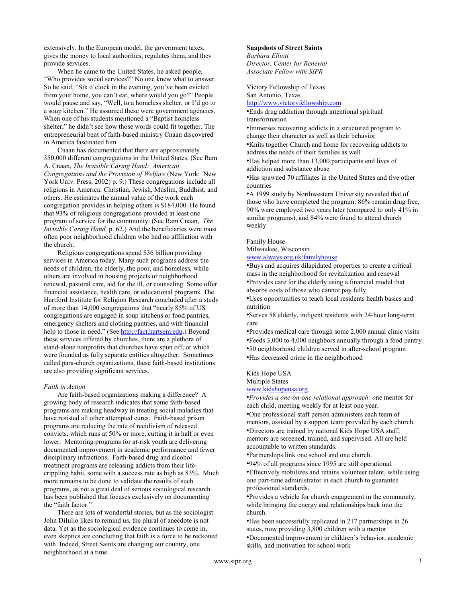extensively. In the European model, the government taxes, gives the money to local authorities, regulates them, and they provide services.

When he came to the United States, he asked people, "Who provides social services?" No one knew what to answer. So he said, "Six o'clock in the evening, you've been evicted from your home, you can't eat, where would you go?" People would pause and say, "Well, to a homeless shelter, or I'd go to a soup kitchen." He assumed these were government agencies. When one of his students mentioned a "Baptist homeless shelter," he didn't see how those words could fit together. The entrepreneurial bent of faith-based ministry Cnaan discovered in America fascinated him.

Cnaan has documented that there are approximately 350,000 different congregations in the United States. (See Ram A. Cnaan, The Invisible Caring Hand: American Congregations and the Provision of Welfare (New York: New York Univ. Press, 2002) p. 9.) These congregations include all religions in America: Christian, Jewish, Muslim, Buddhist, and others. He estimates the annual value of the work each congregation provides in helping others is \$184,000. He found that 93% of religious congregations provided at least one program of service for the community. (See Ram Cnaan, The Invisible Caring Hand, p. 62.) And the beneficiaries were most often poor neighborhood children who had no affiliation with the church.

Religious congregations spend \$36 billion providing services in America today. Many such programs address the needs of children, the elderly, the poor, and homeless, while others are involved in housing projects or neighborhood renewal, pastoral care, aid for the ill, or counseling. Some offer financial assistance, health care, or educational programs. The Hartford Institute for Religion Research concluded after a study of more than 14,000 congregations that "nearly 85% of US congregations are engaged in soup kitchens or food pantries, emergency shelters and clothing pantries, and with financial help to those in need." (See http://fact.hartsem.edu.) Beyond these services offered by churches, there are a plethora of stand-alone nonprofits that churches have spun off, or which were founded as fully separate entities altogether. Sometimes called para-church organizations, these faith-based institutions are also providing significant services.

#### Faith in Action

Are faith-based organizations making a difference? A growing body of research indicates that some faith-based programs are making headway in treating social maladies that have resisted all other attempted cures. Faith-based prison programs are reducing the rate of recidivism of released convicts, which runs at 50% or more, cutting it in half or even lower. Mentoring programs for at-risk youth are delivering documented improvement in academic performance and fewer disciplinary infractions. Faith-based drug and alcohol treatment programs are releasing addicts from their lifecrippling habit, some with a success rate as high as 83%. Much more remains to be done to validate the results of such programs, as not a great deal of serious sociological research has been published that focuses exclusively on documenting the "faith factor."

There are lots of wonderful stories, but as the sociologist John DiIulio likes to remind us, the plural of anecdote is not data. Yet as the sociological evidence continues to come in, even skeptics are concluding that faith is a force to be reckoned with. Indeed, Street Saints are changing our country, one neighborhood at a time.

#### Snapshots of Street Saints

Barbara Elliott Director, Center for Renewal Associate Fellow with SIPR

Victory Fellowship of Texas San Antonio, Texas http://www.victoryfellowship.com

•Ends drug addiction through intentional spiritual transformation

•Immerses recovering addicts in a structured program to change their character as well as their behavior

•Knits together Church and home for recovering addicts to address the needs of their families as well

•Has helped more than 13,000 participants end lives of addiction and substance abuse

•Has spawned 70 affiliates in the United States and five other countries

•A 1999 study by Northwestern University revealed that of those who have completed the program: 86% remain drug free, 90% were employed two years later (compared to only 41% in similar programs), and 84% were found to attend church weekly

Family House

Milwaukee, Wisconsin

www.always.org.uk/familyhouse

•Buys and acquires dilapidated properties to create a critical mass in the neighborhood for revitalization and renewal •Provides care for the elderly using a financial model that absorbs costs of those who cannot pay fully

•Uses opportunities to teach local residents health basics and nutrition

•Serves 58 elderly, indigent residents with 24-hour long-term care

•Provides medical care through some 2,000 annual clinic visits •Feeds 3,000 to 4,000 neighbors annually through a food pantry •50 neighborhood children served in after-school program •Has decreased crime in the neighborhood

Kids Hope USA

Multiple States

# www.kidshopeusa.org

•Provides a one-on-one relational approach: one mentor for each child, meeting weekly for at least one year.

•One professional staff person administers each team of mentors, assisted by a support team provided by each church. •Directors are trained by national Kids Hope USA staff; mentors are screened, trained, and supervised. All are held accountable to written standards.

•Partnerships link one school and one church.

•94% of all programs since 1995 are still operational. •Effectively mobilizes and retains volunteer talent, while using one part-time administrator in each church to guarantee professional standards.

•Provides a vehicle for church engagement in the community, while bringing the energy and relationships back into the church.

•Has been successfully replicated in 217 partnerships in 26 states, now providing 3,800 children with a mentor •Documented improvement in children's behavior, academic skills, and motivation for school work